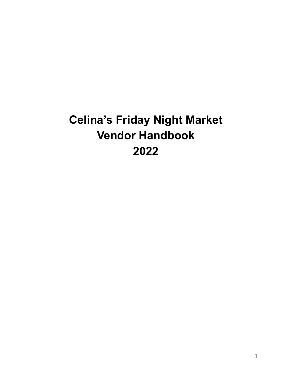# **Celina's Friday Night Market Vendor Handbook 2022**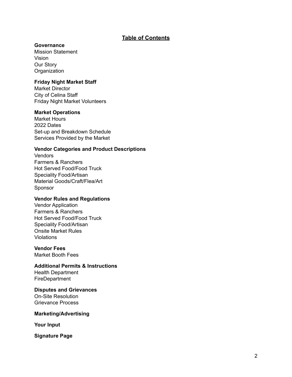# **Table of Contents**

## **Governance**

Mission Statement Vision Our Story **Organization** 

## **Friday Night Market Staff**

Market Director City of Celina Staff Friday Night Market Volunteers

#### **Market Operations**

Market Hours 2022 Dates Set-up and Breakdown Schedule Services Provided by the Market

#### **Vendor Categories and Product Descriptions**

**Vendors** Farmers & Ranchers Hot Served Food/Food Truck Speciality Food/Artisan Material Goods/Craft/Flea/Art Sponsor

#### **Vendor Rules and Regulations**

Vendor Application Farmers & Ranchers Hot Served Food/Food Truck Speciality Food/Artisan Onsite Market Rules Violations

#### **Vendor Fees**

Market Booth Fees

#### **Additional Permits & Instructions**

Health Department FireDepartment

#### **Disputes and Grievances**

On-Site Resolution Grievance Process

#### **Marketing/Advertising**

**Your Input**

**Signature Page**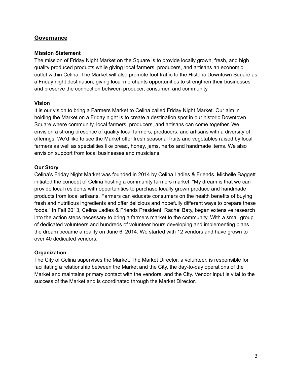# **Governance**

## **Mission Statement**

The mission of Friday Night Market on the Square is to provide locally grown, fresh, and high quality produced products while giving local farmers, producers, and artisans an economic outlet within Celina. The Market will also promote foot traffic to the Historic Downtown Square as a Friday night destination, giving local merchants opportunities to strengthen their businesses and preserve the connection between producer, consumer, and community.

## **Vision**

It is our vision to bring a Farmers Market to Celina called Friday Night Market. Our aim in holding the Market on a Friday night is to create a destination spot in our historic Downtown Square where community, local farmers, producers, and artisans can come together. We envision a strong presence of quality local farmers, producers, and artisans with a diversity of offerings. We'd like to see the Market offer fresh seasonal fruits and vegetables raised by local farmers as well as specialities like bread, honey, jams, herbs and handmade items. We also envision support from local businesses and musicians.

## **Our Story**

Celina's Friday Night Market was founded in 2014 by Celina Ladies & [Friends.](https://www.celinaladiesandfriends.com/) Michelle Baggett initiated the concept of Celina hosting a community farmers market. "My dream is that we can provide local residents with opportunities to purchase locally grown produce and handmade products from local artisans. Farmers can educate consumers on the health benefits of buying fresh and nutritious ingredients and offer delicious and hopefully different ways to prepare these foods." In Fall 2013, Celina Ladies & Friends President, Rachel Baty, began extensive research into the action steps necessary to bring a farmers market to the community. With a small group of dedicated volunteers and hundreds of volunteer hours developing and implementing plans the dream became a reality on June 6, 2014. We started with 12 vendors and have grown to over 40 dedicated vendors.

# **Organization**

The City of Celina supervises the Market. The Market Director, a volunteer, is responsible for facilitating a relationship between the Market and the City, the day-to-day operations of the Market and maintains primary contact with the vendors, and the City. Vendor input is vital to the success of the Market and is coordinated through the Market Director.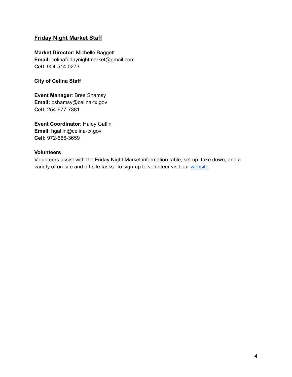# **Friday Night Market Staff**

**Market Director:** Michelle Baggett **Email:** celinafridaynightmarket@gmail.com **Cell**: 904-514-0273

**City of Celina Staff**

**Event Manager**: Bree Shamsy **Email:** bshamsy@celina-tx.gov **Cell:** 254-677-7381

**Event Coordinator**: Haley Gatlin **Email**: hgatlin@celina-tx.gov **Cell:** 972-666-3659

#### **Volunteers**

Volunteers assist with the Friday Night Market information table, set up, take down, and a variety of on-site and off-site tasks. To sign-up to volunteer visit our [website](https://www.celina-tx.gov/1447/Volunteer).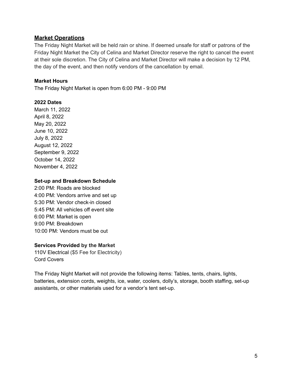# **Market Operations**

The Friday Night Market will be held rain or shine. If deemed unsafe for staff or patrons of the Friday Night Market the City of Celina and Market Director reserve the right to cancel the event at their sole discretion. The City of Celina and Market Director will make a decision by 12 PM, the day of the event, and then notify vendors of the cancellation by email.

# **Market Hours**

The Friday Night Market is open from 6:00 PM - 9:00 PM

# **2022 Dates**

March 11, 2022 April 8, 2022 May 20, 2022 June 10, 2022 July 8, 2022 August 12, 2022 September 9, 2022 October 14, 2022 November 4, 2022

# **Set-up and Breakdown Schedule**

2:00 PM: Roads are blocked 4:00 PM: Vendors arrive and set up 5:30 PM: Vendor check-in closed 5:45 PM: All vehicles off event site 6:00 PM: Market is open 9:00 PM: Breakdown 10:00 PM: Vendors must be out

# **Services Provided by the Market**

110V Electrical (\$5 Fee for Electricity) Cord Covers

The Friday Night Market will not provide the following items: Tables, tents, chairs, lights, batteries, extension cords, weights, ice, water, coolers, dolly's, storage, booth staffing, set-up assistants, or other materials used for a vendor's tent set-up.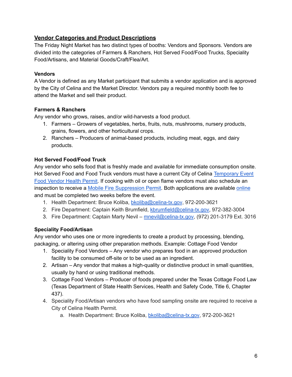# **Vendor Categories and Product Descriptions**

The Friday Night Market has two distinct types of booths: Vendors and Sponsors. Vendors are divided into the categories of Farmers & Ranchers, Hot Served Food/Food Trucks, Speciality Food/Artisans, and Material Goods/Craft/Flea/Art.

# **Vendors**

A Vendor is defined as any Market participant that submits a vendor application and is approved by the City of Celina and the Market Director. Vendors pay a required monthly booth fee to attend the Market and sell their product.

# **Farmers & Ranchers**

Any vendor who grows, raises, and/or wild-harvests a food product.

- 1. Farmers Growers of vegetables, herbs, fruits, nuts, mushrooms, nursery products, grains, flowers, and other horticultural crops.
- 2. Ranchers Producers of animal-based products, including meat, eggs, and dairy products.

# **Hot Served Food/Food Truck**

Any vendor who sells food that is freshly made and available for immediate consumption onsite. Hot Served Food and Food Truck vendors must have a current City of Celina [Temporary](https://app.mygov.us/lr/citizen/request_license.php?citiesID=767&modulesID=2) Event Food [Vendor](https://app.mygov.us/lr/citizen/request_license.php?citiesID=767&modulesID=2) Health Permit. If cooking with oil or open flame vendors must also schedule an inspection to receive a Mobile Fire [Suppression](https://app.mygov.us/lr/citizen/request_license.php?citiesID=767&modulesID=2) Permit. Both applications are available [online](https://app.mygov.us/lr/citizen/request_license.php?citiesID=767&modulesID=2) and must be completed two weeks before the event.

- 1. Health Department: Bruce Koliba, [bkoliba@celina-tx.gov](mailto:bkoliba@celina-tx.gov), 972-200-3621
- 2. Fire Department: Captain Keith Brumfield, [kbrumfield@celina-tx.gov,](mailto:kbrumfield@celina-tx.gov) 972-382-3004
- 3. Fire Department: Captain Marty Nevil [mnevil@celina-tx.gov](mailto:mnevil@celina-tx.gov), (972) 201-3179 Ext. 3016

# **Speciality Food/Artisan**

Any vendor who uses one or more ingredients to create a product by processing, blending, packaging, or altering using other preparation methods. Example: Cottage Food Vendor

- 1. Speciality Food Vendors Any vendor who prepares food in an approved production facility to be consumed off-site or to be used as an ingredient.
- 2. Artisan Any vendor that makes a high-quality or distinctive product in small quantities, usually by hand or using traditional methods.
- 3. Cottage Food Vendors Producer of foods prepared under the Texas Cottage Food Law (Texas Department of State Health Services, Health and Safety Code, Title 6, Chapter 437).
- 4. Speciality Food/Artisan vendors who have food sampling onsite are required to receive a City of Celina Health Permit.
	- a. Health Department: Bruce Koliba, [bkoliba@celina-tx.gov](mailto:bkoliba@celina-tx.gov), 972-200-3621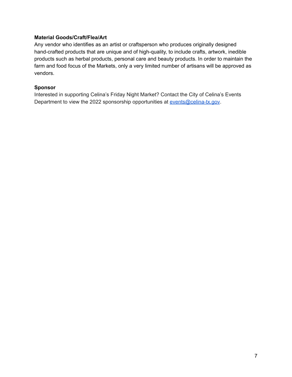## **Material Goods/Craft/Flea/Art**

Any vendor who identifies as an artist or craftsperson who produces originally designed hand-crafted products that are unique and of high-quality, to include crafts, artwork, inedible products such as herbal products, personal care and beauty products. In order to maintain the farm and food focus of the Markets, only a very limited number of artisans will be approved as vendors.

#### **Sponsor**

Interested in supporting Celina's Friday Night Market? Contact the City of Celina's Events Department to view the 2022 sponsorship opportunities at [events@celina-tx.gov](mailto:events@celina-tx.gov).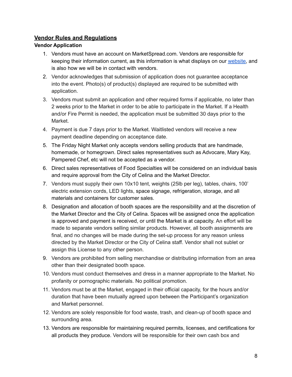# **Vendor Rules and Regulations**

# **Vendor Application**

- 1. Vendors must have an account on MarketSpread.com. Vendors are responsible for keeping their information current, as this information is what displays on our [website,](http://lifeincelinatx.com/fnm) and is also how we will be in contact with vendors.
- 2. Vendor acknowledges that submission of application does not guarantee acceptance into the event. Photo(s) of product(s) displayed are required to be submitted with application.
- 3. Vendors must submit an application and other required forms if applicable, no later than 2 weeks prior to the Market in order to be able to participate in the Market. If a Health and/or Fire Permit is needed, the application must be submitted 30 days prior to the Market.
- 4. Payment is due 7 days prior to the Market. Waitlisted vendors will receive a new payment deadline depending on acceptance date.
- 5. The Friday Night Market only accepts vendors selling products that are handmade, homemade, or homegrown. Direct sales representatives such as Advocare, Mary Kay, Pampered Chef, etc will not be accepted as a vendor.
- 6. Direct sales representatives of Food Specialties will be considered on an individual basis and require approval from the City of Celina and the Market Director.
- 7. Vendors must supply their own 10x10 tent, weights (25lb per leg), tables, chairs, 100' electric extension cords, LED lights, space signage, refrigeration, storage, and all materials and containers for customer sales.
- 8. Designation and allocation of booth spaces are the responsibility and at the discretion of the Market Director and the City of Celina. Spaces will be assigned once the application is approved and payment is received, or until the Market is at capacity. An effort will be made to separate vendors selling similar products. However, all booth assignments are final, and no changes will be made during the set-up process for any reason unless directed by the Market Director or the City of Celina staff. Vendor shall not sublet or assign this License to any other person.
- 9. Vendors are prohibited from selling merchandise or distributing information from an area other than their designated booth space.
- 10. Vendors must conduct themselves and dress in a manner appropriate to the Market. No profanity or pornographic materials. No political promotion.
- 11. Vendors must be at the Market, engaged in their official capacity, for the hours and/or duration that have been mutually agreed upon between the Participant's organization and Market personnel.
- 12. Vendors are solely responsible for food waste, trash, and clean-up of booth space and surrounding area.
- 13. Vendors are responsible for maintaining required permits, licenses, and certifications for all products they produce. Vendors will be responsible for their own cash box and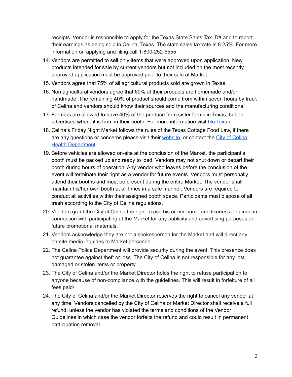receipts. Vendor is responsible to apply for the Texas State Sales Tax ID# and to report their earnings as being sold in Celina, Texas. The state sales tax rate is 8.25%. For more information on applying and filing call 1-800-252-5555.

- 14. Vendors are permitted to sell only items that were approved upon application. New products intended for sale by current vendors but not included on the most recently approved application must be approved prior to their sale at Market.
- 15. Vendors agree that 75% of all agricultural products sold are grown in Texas.
- 16. Non agricultural vendors agree that 60% of their products are homemade and/or handmade. The remaining 40% of product should come from within seven hours by truck of Celina and vendors should know their sources and the manufacturing conditions.
- 17. Farmers are allowed to have 40% of the produce from sister farms in Texas, but be advertised where it is from in their booth. For more information visit Go [Texan](http://www.gotexan.org/).
- 18. Celina's Friday Night Market follows the rules of the Texas Cottage Food Law, if there are any questions or concerns please visit their [website](http://texascottagefoodlaw.com/), or contact the City of [Celina](https://www.celina-tx.gov/1339/Health-and-Food-Safety) Health [Department](https://www.celina-tx.gov/1339/Health-and-Food-Safety).
- 19. Before vehicles are allowed on-site at the conclusion of the Market, the participant's booth must be packed up and ready to load. Vendors may not shut down or depart their booth during hours of operation. Any vendor who leaves before the conclusion of the event will terminate their right as a vendor for future events. Vendors must personally attend their booths and must be present during the entire Market. The vendor shall maintain his/her own booth at all times in a safe manner. Vendors are required to conduct all activities within their assigned booth space. Participants must dispose of all trash according to the City of Celina regulations.
- 20. Vendors grant the City of Celina the right to use his or her name and likeness obtained in connection with participating at the Market for any publicity and advertising purposes or future promotional materials.
- 21. Vendors acknowledge they are not a spokesperson for the Market and will direct any on-site media inquiries to Market personnel.
- 22. The Celina Police Department will provide security during the event. This presence does not guarantee against theft or loss. The City of Celina is not responsible for any lost, damaged or stolen items or property.
- 23. The City of Celina and/or the Market Director holds the right to refuse participation to anyone because of non-compliance with the guidelines. This will result in forfeiture of all fees paid/
- 24. The City of Celina and/or the Market Director reserves the right to cancel any vendor at any time. Vendors cancelled by the City of Celina or Market Director shall receive a full refund, unless the vendor has violated the terms and conditions of the Vendor Guidelines in which case the vendor forfeits the refund and could result in permanent participation removal.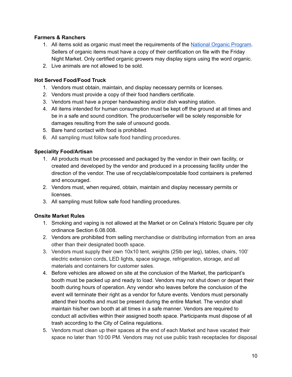# **Farmers & Ranchers**

- 1. All items sold as organic must meet the requirements of the National Organic [Program](https://www.ams.usda.gov/about-ams/programs-offices/national-organic-program). Sellers of organic items must have a copy of their certification on file with the Friday Night Market. Only certified organic growers may display signs using the word organic.
- 2. Live animals are not allowed to be sold.

## **Hot Served Food/Food Truck**

- 1. Vendors must obtain, maintain, and display necessary permits or licenses.
- 2. Vendors must provide a copy of their food handlers certificate.
- 3. Vendors must have a proper handwashing and/or dish washing station.
- 4. All items intended for human consumption must be kept off the ground at all times and be in a safe and sound condition. The producer/seller will be solely responsible for damages resulting from the sale of unsound goods.
- 5. Bare hand contact with food is prohibited.
- 6. All sampling must follow safe food handling procedures.

## **Speciality Food/Artisan**

- 1. All products must be processed and packaged by the vendor in their own facility, or created and developed by the vendor and produced in a processing facility under the direction of the vendor. The use of recyclable/compostable food containers is preferred and encouraged.
- 2. Vendors must, when required, obtain, maintain and display necessary permits or licenses.
- 3. All sampling must follow safe food handling procedures.

# **Onsite Market Rules**

- 1. Smoking and vaping is not allowed at the Market or on Celina's Historic Square per city ordinance Section 6.08.008.
- 2. Vendors are prohibited from selling merchandise or distributing information from an area other than their designated booth space.
- 3. Vendors must supply their own 10x10 tent, weights (25lb per leg), tables, chairs, 100' electric extension cords, LED lights, space signage, refrigeration, storage, and all materials and containers for customer sales.
- 4. Before vehicles are allowed on site at the conclusion of the Market, the participant's booth must be packed up and ready to load. Vendors may not shut down or depart their booth during hours of operation. Any vendor who leaves before the conclusion of the event will terminate their right as a vendor for future events. Vendors must personally attend their booths and must be present during the entire Market. The vendor shall maintain his/her own booth at all times in a safe manner. Vendors are required to conduct all activities within their assigned booth space. Participants must dispose of all trash according to the City of Celina regulations.
- 5. Vendors must clean up their spaces at the end of each Market and have vacated their space no later than 10:00 PM. Vendors may not use public trash receptacles for disposal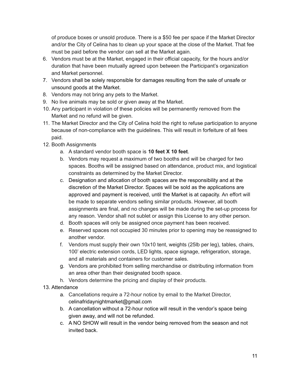of produce boxes or unsold produce. There is a \$50 fee per space if the Market Director and/or the City of Celina has to clean up your space at the close of the Market. That fee must be paid before the vendor can sell at the Market again.

- 6. Vendors must be at the Market, engaged in their official capacity, for the hours and/or duration that have been mutually agreed upon between the Participant's organization and Market personnel.
- 7. Vendors shall be solely responsible for damages resulting from the sale of unsafe or unsound goods at the Market.
- 8. Vendors may not bring any pets to the Market.
- 9. No live animals may be sold or given away at the Market.
- 10. Any participant in violation of these policies will be permanently removed from the Market and no refund will be given.
- 11. The Market Director and the City of Celina hold the right to refuse participation to anyone because of non-compliance with the guidelines. This will result in forfeiture of all fees paid.
- 12. Booth Assignments
	- a. A standard vendor booth space is **10 feet X 10 feet**.
	- b. Vendors may request a maximum of two booths and will be charged for two spaces. Booths will be assigned based on attendance, product mix, and logistical constraints as determined by the Market Director.
	- c. Designation and allocation of booth spaces are the responsibility and at the discretion of the Market Director. Spaces will be sold as the applications are approved and payment is received, until the Market is at capacity. An effort will be made to separate vendors selling similar products. However, all booth assignments are final, and no changes will be made during the set-up process for any reason. Vendor shall not sublet or assign this License to any other person.
	- d. Booth spaces will only be assigned once payment has been received.
	- e. Reserved spaces not occupied 30 minutes prior to opening may be reassigned to another vendor.
	- f. Vendors must supply their own 10x10 tent, weights (25lb per leg), tables, chairs, 100' electric extension cords, LED lights, space signage, refrigeration, storage, and all materials and containers for customer sales.
	- g. Vendors are prohibited from selling merchandise or distributing information from an area other than their designated booth space.
	- h. Vendors determine the pricing and display of their products.
- 13. Attendance
	- a. Cancellations require a 72-hour notice by email to the Market Director, celinafridaynightmarket@gmail.com
	- b. A cancellation without a 72-hour notice will result in the vendor's space being given away, and will not be refunded.
	- c. A NO SHOW will result in the vendor being removed from the season and not invited back.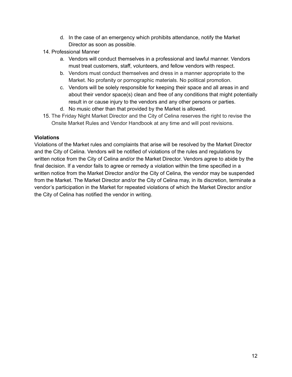- d. In the case of an emergency which prohibits attendance, notify the Market Director as soon as possible.
- 14. Professional Manner
	- a. Vendors will conduct themselves in a professional and lawful manner. Vendors must treat customers, staff, volunteers, and fellow vendors with respect.
	- b. Vendors must conduct themselves and dress in a manner appropriate to the Market. No profanity or pornographic materials. No political promotion.
	- c. Vendors will be solely responsible for keeping their space and all areas in and about their vendor space(s) clean and free of any conditions that might potentially result in or cause injury to the vendors and any other persons or parties.
	- d. No music other than that provided by the Market is allowed.
- 15. The Friday Night Market Director and the City of Celina reserves the right to revise the Onsite Market Rules and Vendor Handbook at any time and will post revisions.

# **Violations**

Violations of the Market rules and complaints that arise will be resolved by the Market Director and the City of Celina. Vendors will be notified of violations of the rules and regulations by written notice from the City of Celina and/or the Market Director. Vendors agree to abide by the final decision. If a vendor fails to agree or remedy a violation within the time specified in a written notice from the Market Director and/or the City of Celina, the vendor may be suspended from the Market. The Market Director and/or the City of Celina may, in its discretion, terminate a vendor's participation in the Market for repeated violations of which the Market Director and/or the City of Celina has notified the vendor in writing.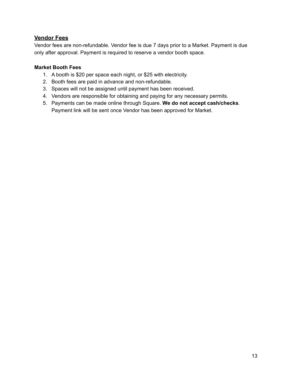# **Vendor Fees**

Vendor fees are non-refundable. Vendor fee is due 7 days prior to a Market. Payment is due only after approval. Payment is required to reserve a vendor booth space.

# **Market Booth Fees**

- 1. A booth is \$20 per space each night, or \$25 with electricity.
- 2. Booth fees are paid in advance and non-refundable.
- 3. Spaces will not be assigned until payment has been received.
- 4. Vendors are responsible for obtaining and paying for any necessary permits.
- 5. Payments can be made online through Square. **We do not accept cash/checks**. Payment link will be sent once Vendor has been approved for Market.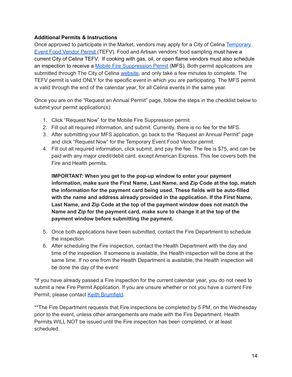# **Additional Permits & Instructions**

Once approved to participate in the Market, vendors may apply for a City of Celina [Temporary](https://app.mygov.us/lr/citizen/request_license.php?citiesID=767&modulesID=2) Event Food [Vendor](https://app.mygov.us/lr/citizen/request_license.php?citiesID=767&modulesID=2) Permit (TEFV). Food and Artisan vendors' food sampling must have a current City of Celina TEFV. If cooking with gas, oil, or open flame vendors must also schedule an inspection to receive a Mobile Fire [Suppression](https://app.mygov.us/lr/citizen/request_license.php?citiesID=767&modulesID=2) Permit (MFS). Both permit applications are submitted through The City of Celina [website,](https://app.mygov.us/lr/citizen/request_license.php?citiesID=767&modulesID=2) and only take a few minutes to complete. The TEFV permit is valid ONLY for the specific event in which you are participating. The MFS permit is valid through the end of the calendar year, for all Celina events in the same year.

Once you are on the "Request an Annual Permit" page, follow the steps in the checklist below to submit your permit application(s):

- 1. Click "Request Now" for the Mobile Fire Suppression permit.
- 2. Fill out all required information, and submit. Currently, there is no fee for the MFS.
- 3. After submitting your MFS application, go back to the "Request an Annual Permit" page and click "Request Now" for the Temporary Event Food Vendor permit.
- 4. Fill out all required information, click submit, and pay the fee. The fee is \$75, and can be paid with any major credit/debit card, except American Express. This fee covers both the Fire and Health permits.

**IMPORTANT: When you get to the pop-up window to enter your payment information, make sure the First Name, Last Name, and Zip Code at the top, match the information for the payment card being used. These fields will be auto-filled with the name and address already provided in the application. If the First Name, Last Name, and Zip Code at the top of the payment window does not match the Name and Zip for the payment card, make sure to change it at the top of the payment window before submitting the payment.**

- 5. Once both applications have been submitted, contact the Fire Department to schedule the inspection.
- 6. After scheduling the Fire inspection, contact the Health Department with the day and time of the inspection. If someone is available, the Health inspection will be done at the same time. If no one from the Health Department is available, the Health inspection will be done the day of the event.

\*If you have already passed a Fire inspection for the current calendar year, you do not need to submit a new Fire Permit Application. If you are unsure whether or not you have a current Fire Permit, please contact Keith [Brumfield](mailto:kbrumfield@Celina-tx.gov).

\*\*The Fire Department requests that Fire inspections be completed by 5 PM, on the Wednesday prior to the event, unless other arrangements are made with the Fire Department. Health Permits WILL NOT be issued until the Fire inspection has been completed, or at least scheduled.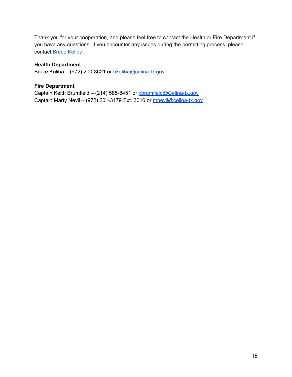Thank you for your cooperation, and please feel free to contact the Health or Fire Department if you have any questions. If you encounter any issues during the permitting process, please contact Bruce [Koliba.](mailto:bkoliba@celina-tx.gov)

## **Health Department**

Bruce Koliba – (972) 200-3621 or [bkoliba@celina-tx.gov](mailto:bkoliba@celina-tx.gov)

## **Fire Department**

Captain Keith Brumfield – (214) 585-8451 or [kbrumfield@Celina-tx.gov](mailto:kbrumfield@Celina-tx.gov) Captain Marty Nevil – (972) 201-3179 Ext. 3016 or [mnevil@celina-tx.gov](mailto:mnevil@celina-tx.gov)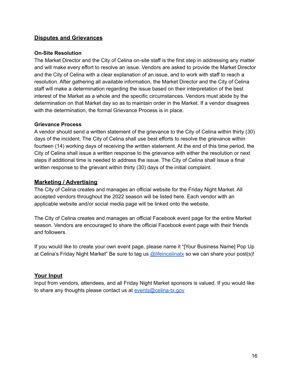# **Disputes and Grievances**

## **On-Site Resolution**

The Market Director and the City of Celina on-site staff is the first step in addressing any matter and will make every effort to resolve an issue. Vendors are asked to provide the Market Director and the City of Celina with a clear explanation of an issue, and to work with staff to reach a resolution. After gathering all available information, the Market Director and the City of Celina staff will make a determination regarding the issue based on their interpretation of the best interest of the Market as a whole and the specific circumstances. Vendors must abide by the determination on that Market day so as to maintain order in the Market. If a vendor disagrees with the determination, the formal Grievance Process is in place.

## **Grievance Process**

A vendor should send a written statement of the grievance to the City of Celina within thirty (30) days of the incident. The City of Celina shall use best efforts to resolve the grievance within fourteen (14) working days of receiving the written statement. At the end of this time period, the City of Celina shall issue a written response to the grievance with either the resolution or next steps if additional time is needed to address the issue. The City of Celina shall issue a final written response to the grievant within thirty (30) days of the initial complaint.

# **Marketing / Advertising**

The City of Celina creates and manages an official website for the Friday Night Market. All accepted vendors throughout the 2022 season will be listed here. Each vendor with an applicable website and/or social media page will be linked onto the website.

The City of Celina creates and manages an official Facebook event page for the entire Market season. Vendors are encouraged to share the official Facebook event page with their friends and followers.

If you would like to create your own event page, please name it "[Your Business Name] Pop Up at Celina's Friday Night Market" Be sure to tag us [@lifeincelinatx](https://www.facebook.com/LifeInCelinaTX) so we can share your post(s)!

# **Your Input**

Input from vendors, attendees, and all Friday Night Market sponsors is valued. If you would like to share any thoughts please contact us at [events@celina-tx.gov](mailto:events@celina-tx.gov)